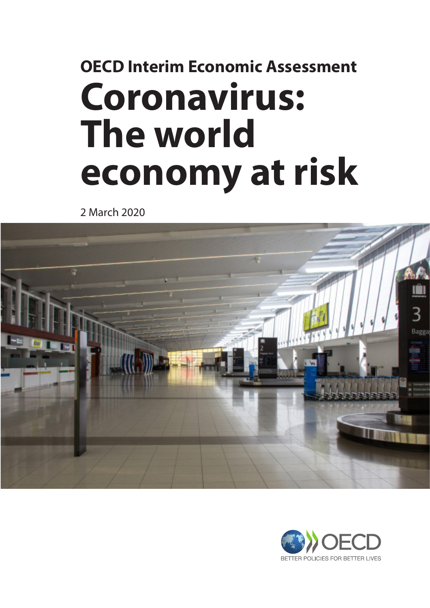# **OECD Interim Economic Assessment Coronavirus: The world economy at risk**

2 March 2020



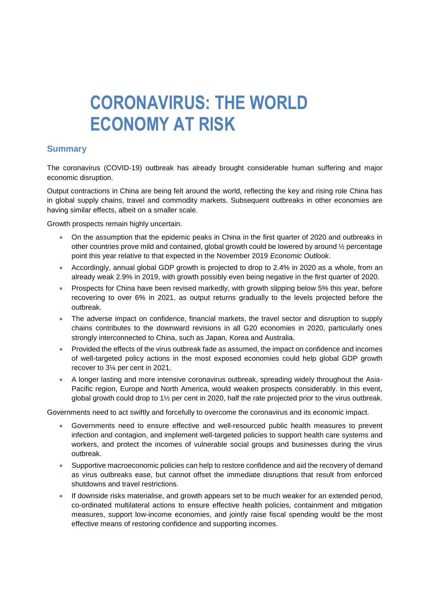## **CORONAVIRUS: THE WORLD ECONOMY AT RISK**

#### **Summary**

The coronavirus (COVID-19) outbreak has already brought considerable human suffering and major economic disruption.

Output contractions in China are being felt around the world, reflecting the key and rising role China has in global supply chains, travel and commodity markets. Subsequent outbreaks in other economies are having similar effects, albeit on a smaller scale.

Growth prospects remain highly uncertain.

- On the assumption that the epidemic peaks in China in the first quarter of 2020 and outbreaks in other countries prove mild and contained, global growth could be lowered by around ½ percentage point this year relative to that expected in the November 2019 *Economic Outlook*.
- Accordingly, annual global GDP growth is projected to drop to 2.4% in 2020 as a whole, from an already weak 2.9% in 2019, with growth possibly even being negative in the first quarter of 2020.
- Prospects for China have been revised markedly, with growth slipping below 5% this year, before recovering to over 6% in 2021, as output returns gradually to the levels projected before the outbreak.
- The adverse impact on confidence, financial markets, the travel sector and disruption to supply chains contributes to the downward revisions in all G20 economies in 2020, particularly ones strongly interconnected to China, such as Japan, Korea and Australia.
- Provided the effects of the virus outbreak fade as assumed, the impact on confidence and incomes of well-targeted policy actions in the most exposed economies could help global GDP growth recover to 3¼ per cent in 2021.
- A longer lasting and more intensive coronavirus outbreak, spreading widely throughout the Asia-Pacific region, Europe and North America, would weaken prospects considerably. In this event, global growth could drop to 1½ per cent in 2020, half the rate projected prior to the virus outbreak.

Governments need to act swiftly and forcefully to overcome the coronavirus and its economic impact.

- Governments need to ensure effective and well-resourced public health measures to prevent infection and contagion, and implement well-targeted policies to support health care systems and workers, and protect the incomes of vulnerable social groups and businesses during the virus outbreak.
- Supportive macroeconomic policies can help to restore confidence and aid the recovery of demand as virus outbreaks ease, but cannot offset the immediate disruptions that result from enforced shutdowns and travel restrictions.
- If downside risks materialise, and growth appears set to be much weaker for an extended period, co-ordinated multilateral actions to ensure effective health policies, containment and mitigation measures, support low-income economies, and jointly raise fiscal spending would be the most effective means of restoring confidence and supporting incomes.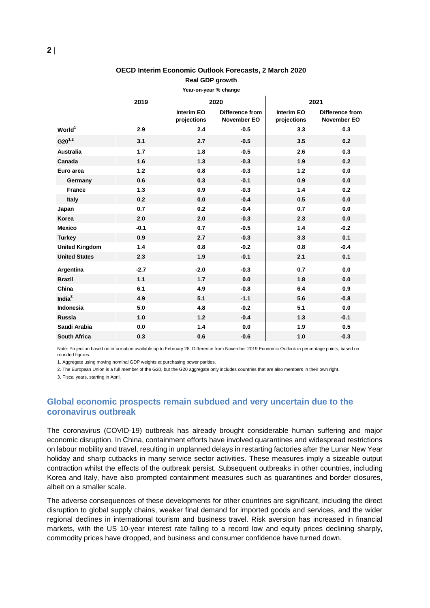#### **OECD Interim Economic Outlook Forecasts, 2 March 2020 Real GDP growth**

| Year-on-year % change |              |                           |                                       |                           |                                       |
|-----------------------|--------------|---------------------------|---------------------------------------|---------------------------|---------------------------------------|
|                       | 2019<br>2020 |                           | 2021                                  |                           |                                       |
|                       |              | Interim EO<br>projections | Difference from<br><b>November EO</b> | Interim EO<br>projections | Difference from<br><b>November EO</b> |
| World <sup>1</sup>    | 2.9          | 2.4                       | $-0.5$                                | 3.3                       | 0.3                                   |
| $G20^{1,2}$           | 3.1          | 2.7                       | $-0.5$                                | 3.5                       | 0.2                                   |
| <b>Australia</b>      | 1.7          | 1.8                       | $-0.5$                                | 2.6                       | 0.3                                   |
| Canada                | 1.6          | 1.3                       | $-0.3$                                | 1.9                       | 0.2                                   |
| Euro area             | 1.2          | 0.8                       | $-0.3$                                | 1.2                       | 0.0                                   |
| Germany               | 0.6          | 0.3                       | $-0.1$                                | 0.9                       | 0.0                                   |
| <b>France</b>         | 1.3          | 0.9                       | $-0.3$                                | 1.4                       | 0.2                                   |
| Italy                 | 0.2          | 0.0                       | $-0.4$                                | 0.5                       | 0.0                                   |
| Japan                 | 0.7          | 0.2                       | $-0.4$                                | 0.7                       | 0.0                                   |
| Korea                 | 2.0          | 2.0                       | $-0.3$                                | 2.3                       | 0.0                                   |
| <b>Mexico</b>         | $-0.1$       | 0.7                       | $-0.5$                                | 1.4                       | $-0.2$                                |
| <b>Turkey</b>         | 0.9          | 2.7                       | $-0.3$                                | 3.3                       | 0.1                                   |
| <b>United Kingdom</b> | 1.4          | 0.8                       | $-0.2$                                | 0.8                       | $-0.4$                                |
| <b>United States</b>  | 2.3          | 1.9                       | $-0.1$                                | 2.1                       | 0.1                                   |
| Argentina             | $-2.7$       | $-2.0$                    | $-0.3$                                | 0.7                       | 0.0                                   |
| <b>Brazil</b>         | 1.1          | 1.7                       | 0.0                                   | 1.8                       | 0.0                                   |
| China                 | 6.1          | 4.9                       | $-0.8$                                | 6.4                       | 0.9                                   |
| India $3$             | 4.9          | 5.1                       | $-1.1$                                | 5.6                       | $-0.8$                                |
| Indonesia             | 5.0          | 4.8                       | $-0.2$                                | 5.1                       | 0.0                                   |
| <b>Russia</b>         | 1.0          | 1.2                       | $-0.4$                                | 1.3                       | $-0.1$                                |
| Saudi Arabia          | 0.0          | 1.4                       | 0.0                                   | 1.9                       | 0.5                                   |
| <b>South Africa</b>   | 0.3          | 0.6                       | $-0.6$                                | 1.0                       | $-0.3$                                |

Note: Projection based on information available up to February 28. Difference from November 2019 Economic Outlook in percentage points, based on rounded figures.

1. Aggregate using moving nominal GDP weights at purchasing power parities.

2. The European Union is a full member of the G20, but the G20 aggregate only includes countries that are also members in their own right.

3. Fiscal years, starting in April.

#### **Global economic prospects remain subdued and very uncertain due to the coronavirus outbreak**

The coronavirus (COVID-19) outbreak has already brought considerable human suffering and major economic disruption. In China, containment efforts have involved quarantines and widespread restrictions on labour mobility and travel, resulting in unplanned delays in restarting factories after the Lunar New Year holiday and sharp cutbacks in many service sector activities. These measures imply a sizeable output contraction whilst the effects of the outbreak persist. Subsequent outbreaks in other countries, including Korea and Italy, have also prompted containment measures such as quarantines and border closures, albeit on a smaller scale.

The adverse consequences of these developments for other countries are significant, including the direct disruption to global supply chains, weaker final demand for imported goods and services, and the wider regional declines in international tourism and business travel. Risk aversion has increased in financial markets, with the US 10-year interest rate falling to a record low and equity prices declining sharply, commodity prices have dropped, and business and consumer confidence have turned down.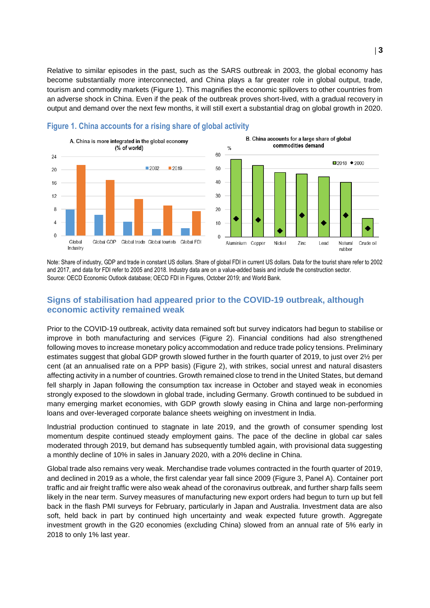Relative to similar episodes in the past, such as the SARS outbreak in 2003, the global economy has become substantially more interconnected, and China plays a far greater role in global output, trade, tourism and commodity markets (Figure 1). This magnifies the economic spillovers to other countries from an adverse shock in China. Even if the peak of the outbreak proves short-lived, with a gradual recovery in output and demand over the next few months, it will still exert a substantial drag on global growth in 2020.



**Figure 1. China accounts for a rising share of global activity**

Note: Share of industry, GDP and trade in constant US dollars. Share of global FDI in current US dollars. Data for the tourist share refer to 2002 and 2017, and data for FDI refer to 2005 and 2018. Industry data are on a value-added basis and include the construction sector. Source: OECD Economic Outlook database; OECD FDI in Figures, October 2019; and World Bank.

#### **Signs of stabilisation had appeared prior to the COVID-19 outbreak, although economic activity remained weak**

Prior to the COVID-19 outbreak, activity data remained soft but survey indicators had begun to stabilise or improve in both manufacturing and services (Figure 2). Financial conditions had also strengthened following moves to increase monetary policy accommodation and reduce trade policy tensions. Preliminary estimates suggest that global GDP growth slowed further in the fourth quarter of 2019, to just over 2½ per cent (at an annualised rate on a PPP basis) (Figure 2), with strikes, social unrest and natural disasters affecting activity in a number of countries. Growth remained close to trend in the United States, but demand fell sharply in Japan following the consumption tax increase in October and stayed weak in economies strongly exposed to the slowdown in global trade, including Germany. Growth continued to be subdued in many emerging market economies, with GDP growth slowly easing in China and large non-performing loans and over-leveraged corporate balance sheets weighing on investment in India.

Industrial production continued to stagnate in late 2019, and the growth of consumer spending lost momentum despite continued steady employment gains. The pace of the decline in global car sales moderated through 2019, but demand has subsequently tumbled again, with provisional data suggesting a monthly decline of 10% in sales in January 2020, with a 20% decline in China.

Global trade also remains very weak. Merchandise trade volumes contracted in the fourth quarter of 2019, and declined in 2019 as a whole, the first calendar year fall since 2009 (Figure 3, Panel A). Container port traffic and air freight traffic were also weak ahead of the coronavirus outbreak, and further sharp falls seem likely in the near term. Survey measures of manufacturing new export orders had begun to turn up but fell back in the flash PMI surveys for February, particularly in Japan and Australia. Investment data are also soft, held back in part by continued high uncertainty and weak expected future growth. Aggregate investment growth in the G20 economies (excluding China) slowed from an annual rate of 5% early in 2018 to only 1% last year.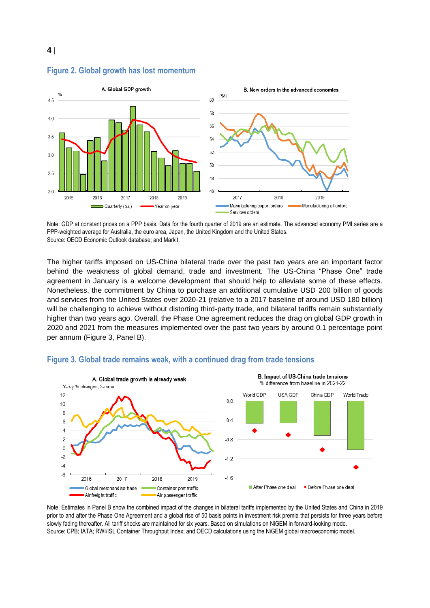

#### **Figure 2. Global growth has lost momentum**

Note: GDP at constant prices on a PPP basis. Data for the fourth quarter of 2019 are an estimate. The advanced economy PMI series are a PPP-weighted average for Australia, the euro area, Japan, the United Kingdom and the United States. Source: OECD Economic Outlook database; and Markit.

The higher tariffs imposed on US-China bilateral trade over the past two years are an important factor behind the weakness of global demand, trade and investment. The US-China "Phase One" trade agreement in January is a welcome development that should help to alleviate some of these effects. Nonetheless, the commitment by China to purchase an additional cumulative USD 200 billion of goods and services from the United States over 2020-21 (relative to a 2017 baseline of around USD 180 billion) will be challenging to achieve without distorting third-party trade, and bilateral tariffs remain substantially higher than two years ago. Overall, the Phase One agreement reduces the drag on global GDP growth in 2020 and 2021 from the measures implemented over the past two years by around 0.1 percentage point per annum (Figure 3, Panel B).



#### **Figure 3. Global trade remains weak, with a continued drag from trade tensions**

Note. Estimates in Panel B show the combined impact of the changes in bilateral tariffs implemented by the United States and China in 2019 prior to and after the Phase One Agreement and a global rise of 50 basis points in investment risk premia that persists for three years before slowly fading thereafter. All tariff shocks are maintained for six years. Based on simulations on NiGEM in forward-looking mode. Source: CPB; IATA; RWI/ISL Container Throughput Index; and OECD calculations using the NiGEM global macroeconomic model.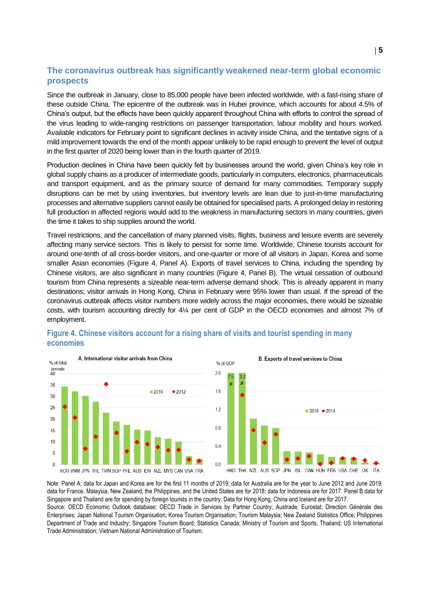#### **The coronavirus outbreak has significantly weakened near-term global economic prospects**

Since the outbreak in January, close to 85,000 people have been infected worldwide, with a fast-rising share of these outside China. The epicentre of the outbreak was in Hubei province, which accounts for about 4.5% of China's output, but the effects have been quickly apparent throughout China with efforts to control the spread of the virus leading to wide-ranging restrictions on passenger transportation, labour mobility and hours worked. Available indicators for February point to significant declines in activity inside China, and the tentative signs of a mild improvement towards the end of the month appear unlikely to be rapid enough to prevent the level of output in the first quarter of 2020 being lower than in the fourth quarter of 2019.

Production declines in China have been quickly felt by businesses around the world, given China's key role in global supply chains as a producer of intermediate goods, particularly in computers, electronics, pharmaceuticals and transport equipment, and as the primary source of demand for many commodities. Temporary supply disruptions can be met by using inventories, but inventory levels are lean due to just-in-time manufacturing processes and alternative suppliers cannot easily be obtained for specialised parts. A prolonged delay in restoring full production in affected regions would add to the weakness in manufacturing sectors in many countries, given the time it takes to ship supplies around the world.

Travel restrictions, and the cancellation of many planned visits, flights, business and leisure events are severely affecting many service sectors. This is likely to persist for some time. Worldwide, Chinese tourists account for around one-tenth of all cross-border visitors, and one-quarter or more of all visitors in Japan, Korea and some smaller Asian economies (Figure 4, Panel A). Exports of travel services to China, including the spending by Chinese visitors, are also significant in many countries (Figure 4, Panel B). The virtual cessation of outbound tourism from China represents a sizeable near-term adverse demand shock. This is already apparent in many destinations; visitor arrivals in Hong Kong, China in February were 95% lower than usual. If the spread of the coronavirus outbreak affects visitor numbers more widely across the major economies, there would be sizeable costs, with tourism accounting directly for 4¼ per cent of GDP in the OECD economies and almost 7% of employment.





Note: Panel A: data for Japan and Korea are for the first 11 months of 2019; data for Australia are for the year to June 2012 and June 2019; data for France, Malaysia, New Zealand, the Philippines, and the United States are for 2018; data for Indonesia are for 2017. Panel B data for Singapore and Thailand are for spending by foreign tourists in the country. Data for Hong Kong, China and Iceland are for 2017. Source: OECD Economic Outlook database; OECD Trade in Services by Partner Country; Austrade; Eurostat; Direction Générale des Enterprises; Japan National Tourism Organisation; Korea Tourism Organisation; Tourism Malaysia; New Zealand Statistics Office; Philippines Department of Trade and Industry; Singapore Tourism Board; Statistics Canada; Ministry of Tourism and Sports, Thailand; US International Trade Administration; Vietnam National Administration of Tourism.

#### **Figure 4. Chinese visitors account for a rising share of visits and tourist spending in many economies**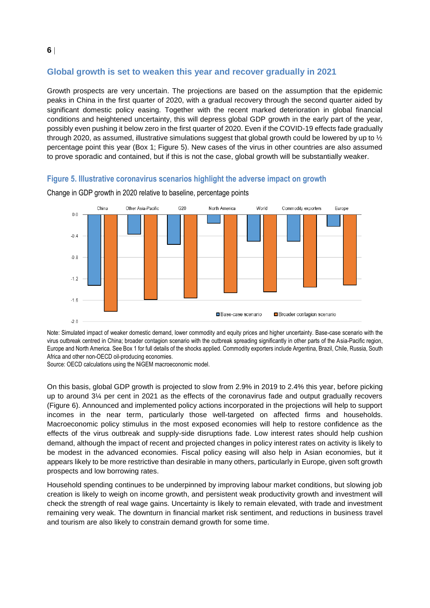#### **Global growth is set to weaken this year and recover gradually in 2021**

Growth prospects are very uncertain. The projections are based on the assumption that the epidemic peaks in China in the first quarter of 2020, with a gradual recovery through the second quarter aided by significant domestic policy easing. Together with the recent marked deterioration in global financial conditions and heightened uncertainty, this will depress global GDP growth in the early part of the year, possibly even pushing it below zero in the first quarter of 2020. Even if the COVID-19 effects fade gradually through 2020, as assumed, illustrative simulations suggest that global growth could be lowered by up to ½ percentage point this year (Box 1; Figure 5). New cases of the virus in other countries are also assumed to prove sporadic and contained, but if this is not the case, global growth will be substantially weaker.

#### **Figure 5. Illustrative coronavirus scenarios highlight the adverse impact on growth**



Change in GDP growth in 2020 relative to baseline, percentage points

Note: Simulated impact of weaker domestic demand, lower commodity and equity prices and higher uncertainty. Base-case scenario with the virus outbreak centred in China; broader contagion scenario with the outbreak spreading significantly in other parts of the Asia-Pacific region, Europe and North America. See Box 1 for full details of the shocks applied. Commodity exporters include Argentina, Brazil, Chile, Russia, South Africa and other non-OECD oil-producing economies.

Source: OECD calculations using the NiGEM macroeconomic model.

On this basis, global GDP growth is projected to slow from 2.9% in 2019 to 2.4% this year, before picking up to around 3¼ per cent in 2021 as the effects of the coronavirus fade and output gradually recovers (Figure 6). Announced and implemented policy actions incorporated in the projections will help to support incomes in the near term, particularly those well-targeted on affected firms and households. Macroeconomic policy stimulus in the most exposed economies will help to restore confidence as the effects of the virus outbreak and supply-side disruptions fade. Low interest rates should help cushion demand, although the impact of recent and projected changes in policy interest rates on activity is likely to be modest in the advanced economies. Fiscal policy easing will also help in Asian economies, but it appears likely to be more restrictive than desirable in many others, particularly in Europe, given soft growth prospects and low borrowing rates.

Household spending continues to be underpinned by improving labour market conditions, but slowing job creation is likely to weigh on income growth, and persistent weak productivity growth and investment will check the strength of real wage gains. Uncertainty is likely to remain elevated, with trade and investment remaining very weak. The downturn in financial market risk sentiment, and reductions in business travel and tourism are also likely to constrain demand growth for some time.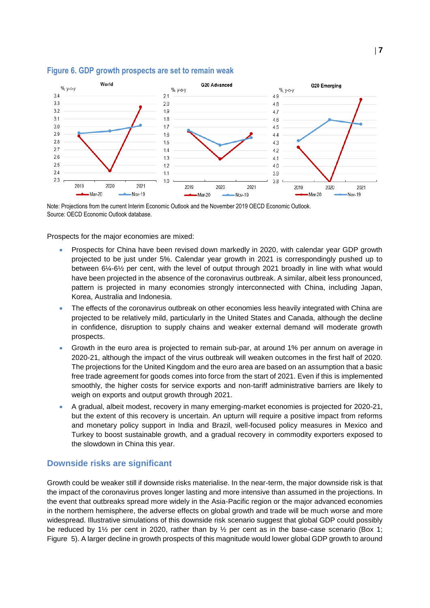

#### **Figure 6. GDP growth prospects are set to remain weak**

Note: Projections from the current Interim Economic Outlook and the November 2019 OECD Economic Outlook. Source: OECD Economic Outlook database.

Prospects for the major economies are mixed:

- Prospects for China have been revised down markedly in 2020, with calendar year GDP growth projected to be just under 5%. Calendar year growth in 2021 is correspondingly pushed up to between 6¼-6½ per cent, with the level of output through 2021 broadly in line with what would have been projected in the absence of the coronavirus outbreak. A similar, albeit less pronounced, pattern is projected in many economies strongly interconnected with China, including Japan, Korea, Australia and Indonesia.
- The effects of the coronavirus outbreak on other economies less heavily integrated with China are projected to be relatively mild, particularly in the United States and Canada, although the decline in confidence, disruption to supply chains and weaker external demand will moderate growth prospects.
- Growth in the euro area is projected to remain sub-par, at around 1% per annum on average in 2020-21, although the impact of the virus outbreak will weaken outcomes in the first half of 2020. The projections for the United Kingdom and the euro area are based on an assumption that a basic free trade agreement for goods comes into force from the start of 2021. Even if this is implemented smoothly, the higher costs for service exports and non-tariff administrative barriers are likely to weigh on exports and output growth through 2021.
- A gradual, albeit modest, recovery in many emerging-market economies is projected for 2020-21, but the extent of this recovery is uncertain. An upturn will require a positive impact from reforms and monetary policy support in India and Brazil, well-focused policy measures in Mexico and Turkey to boost sustainable growth, and a gradual recovery in commodity exporters exposed to the slowdown in China this year.

#### **Downside risks are significant**

Growth could be weaker still if downside risks materialise. In the near-term, the major downside risk is that the impact of the coronavirus proves longer lasting and more intensive than assumed in the projections. In the event that outbreaks spread more widely in the Asia-Pacific region or the major advanced economies in the northern hemisphere, the adverse effects on global growth and trade will be much worse and more widespread. Illustrative simulations of this downside risk scenario suggest that global GDP could possibly be reduced by  $1\frac{1}{2}$  per cent in 2020, rather than by  $\frac{1}{2}$  per cent as in the base-case scenario (Box 1; Figure 5). A larger decline in growth prospects of this magnitude would lower global GDP growth to around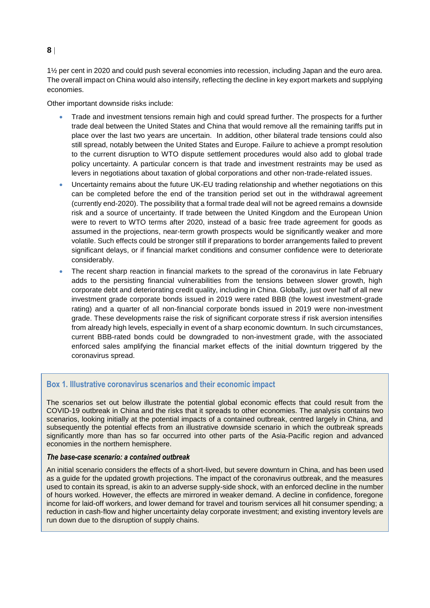1½ per cent in 2020 and could push several economies into recession, including Japan and the euro area. The overall impact on China would also intensify, reflecting the decline in key export markets and supplying economies.

Other important downside risks include:

- Trade and investment tensions remain high and could spread further. The prospects for a further trade deal between the United States and China that would remove all the remaining tariffs put in place over the last two years are uncertain. In addition, other bilateral trade tensions could also still spread, notably between the United States and Europe. Failure to achieve a prompt resolution to the current disruption to WTO dispute settlement procedures would also add to global trade policy uncertainty. A particular concern is that trade and investment restraints may be used as levers in negotiations about taxation of global corporations and other non-trade-related issues.
- Uncertainty remains about the future UK-EU trading relationship and whether negotiations on this can be completed before the end of the transition period set out in the withdrawal agreement (currently end-2020). The possibility that a formal trade deal will not be agreed remains a downside risk and a source of uncertainty. If trade between the United Kingdom and the European Union were to revert to WTO terms after 2020, instead of a basic free trade agreement for goods as assumed in the projections, near-term growth prospects would be significantly weaker and more volatile. Such effects could be stronger still if preparations to border arrangements failed to prevent significant delays, or if financial market conditions and consumer confidence were to deteriorate considerably.
- The recent sharp reaction in financial markets to the spread of the coronavirus in late February adds to the persisting financial vulnerabilities from the tensions between slower growth, high corporate debt and deteriorating credit quality, including in China. Globally, just over half of all new investment grade corporate bonds issued in 2019 were rated BBB (the lowest investment-grade rating) and a quarter of all non-financial corporate bonds issued in 2019 were non-investment grade. These developments raise the risk of significant corporate stress if risk aversion intensifies from already high levels, especially in event of a sharp economic downturn. In such circumstances, current BBB-rated bonds could be downgraded to non-investment grade, with the associated enforced sales amplifying the financial market effects of the initial downturn triggered by the coronavirus spread.

#### **Box 1. Illustrative coronavirus scenarios and their economic impact**

The scenarios set out below illustrate the potential global economic effects that could result from the COVID-19 outbreak in China and the risks that it spreads to other economies. The analysis contains two scenarios, looking initially at the potential impacts of a contained outbreak, centred largely in China, and subsequently the potential effects from an illustrative downside scenario in which the outbreak spreads significantly more than has so far occurred into other parts of the Asia-Pacific region and advanced economies in the northern hemisphere.

#### *The base-case scenario: a contained outbreak*

An initial scenario considers the effects of a short-lived, but severe downturn in China, and has been used as a guide for the updated growth projections. The impact of the coronavirus outbreak, and the measures used to contain its spread, is akin to an adverse supply-side shock, with an enforced decline in the number of hours worked. However, the effects are mirrored in weaker demand. A decline in confidence, foregone income for laid-off workers, and lower demand for travel and tourism services all hit consumer spending; a reduction in cash-flow and higher uncertainty delay corporate investment; and existing inventory levels are run down due to the disruption of supply chains.

#### **8**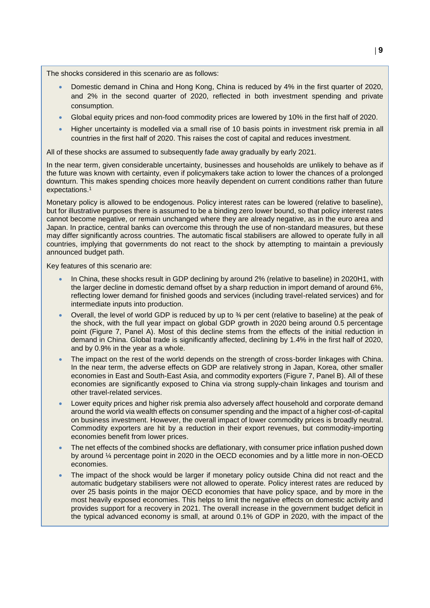The shocks considered in this scenario are as follows:

- Domestic demand in China and Hong Kong, China is reduced by 4% in the first quarter of 2020, and 2% in the second quarter of 2020, reflected in both investment spending and private consumption.
- Global equity prices and non-food commodity prices are lowered by 10% in the first half of 2020.
- Higher uncertainty is modelled via a small rise of 10 basis points in investment risk premia in all countries in the first half of 2020. This raises the cost of capital and reduces investment.

All of these shocks are assumed to subsequently fade away gradually by early 2021.

In the near term, given considerable uncertainty, businesses and households are unlikely to behave as if the future was known with certainty, even if policymakers take action to lower the chances of a prolonged downturn. This makes spending choices more heavily dependent on current conditions rather than future expectations.<sup>1</sup>

Monetary policy is allowed to be endogenous. Policy interest rates can be lowered (relative to baseline), but for illustrative purposes there is assumed to be a binding zero lower bound, so that policy interest rates cannot become negative, or remain unchanged where they are already negative, as in the euro area and Japan. In practice, central banks can overcome this through the use of non-standard measures, but these may differ significantly across countries. The automatic fiscal stabilisers are allowed to operate fully in all countries, implying that governments do not react to the shock by attempting to maintain a previously announced budget path.

Key features of this scenario are:

- In China, these shocks result in GDP declining by around 2% (relative to baseline) in 2020H1, with the larger decline in domestic demand offset by a sharp reduction in import demand of around 6%, reflecting lower demand for finished goods and services (including travel-related services) and for intermediate inputs into production.
- Overall, the level of world GDP is reduced by up to ¾ per cent (relative to baseline) at the peak of the shock, with the full year impact on global GDP growth in 2020 being around 0.5 percentage point (Figure 7, Panel A). Most of this decline stems from the effects of the initial reduction in demand in China. Global trade is significantly affected, declining by 1.4% in the first half of 2020, and by 0.9% in the year as a whole.
- The impact on the rest of the world depends on the strength of cross-border linkages with China. In the near term, the adverse effects on GDP are relatively strong in Japan, Korea, other smaller economies in East and South-East Asia, and commodity exporters (Figure 7, Panel B). All of these economies are significantly exposed to China via strong supply-chain linkages and tourism and other travel-related services.
- Lower equity prices and higher risk premia also adversely affect household and corporate demand around the world via wealth effects on consumer spending and the impact of a higher cost-of-capital on business investment. However, the overall impact of lower commodity prices is broadly neutral. Commodity exporters are hit by a reduction in their export revenues, but commodity-importing economies benefit from lower prices.
- The net effects of the combined shocks are deflationary, with consumer price inflation pushed down by around ¼ percentage point in 2020 in the OECD economies and by a little more in non-OECD economies.
- The impact of the shock would be larger if monetary policy outside China did not react and the automatic budgetary stabilisers were not allowed to operate. Policy interest rates are reduced by over 25 basis points in the major OECD economies that have policy space, and by more in the most heavily exposed economies. This helps to limit the negative effects on domestic activity and provides support for a recovery in 2021. The overall increase in the government budget deficit in the typical advanced economy is small, at around 0.1% of GDP in 2020, with the impact of the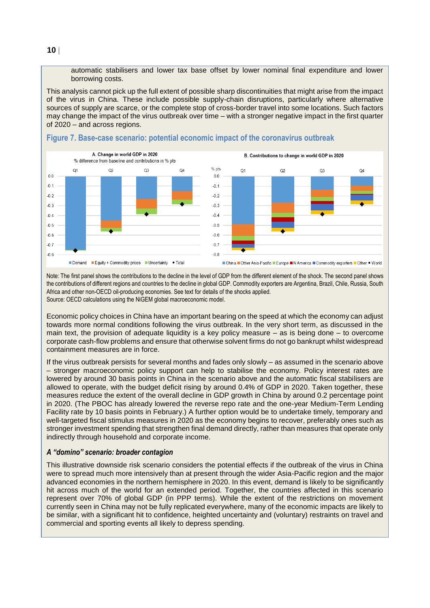automatic stabilisers and lower tax base offset by lower nominal final expenditure and lower borrowing costs.

This analysis cannot pick up the full extent of possible sharp discontinuities that might arise from the impact of the virus in China. These include possible supply-chain disruptions, particularly where alternative sources of supply are scarce, or the complete stop of cross-border travel into some locations. Such factors may change the impact of the virus outbreak over time – with a stronger negative impact in the first quarter of 2020 – and across regions.



#### **Figure 7. Base-case scenario: potential economic impact of the coronavirus outbreak**

Note: The first panel shows the contributions to the decline in the level of GDP from the different element of the shock. The second panel shows the contributions of different regions and countries to the decline in global GDP. Commodity exporters are Argentina, Brazil, Chile, Russia, South Africa and other non-OECD oil-producing economies. See text for details of the shocks applied. Source: OECD calculations using the NiGEM global macroeconomic model.

Economic policy choices in China have an important bearing on the speed at which the economy can adjust towards more normal conditions following the virus outbreak. In the very short term, as discussed in the main text, the provision of adequate liquidity is a key policy measure – as is being done – to overcome corporate cash-flow problems and ensure that otherwise solvent firms do not go bankrupt whilst widespread containment measures are in force.

If the virus outbreak persists for several months and fades only slowly – as assumed in the scenario above – stronger macroeconomic policy support can help to stabilise the economy. Policy interest rates are lowered by around 30 basis points in China in the scenario above and the automatic fiscal stabilisers are allowed to operate, with the budget deficit rising by around 0.4% of GDP in 2020. Taken together, these measures reduce the extent of the overall decline in GDP growth in China by around 0.2 percentage point in 2020. (The PBOC has already lowered the reverse repo rate and the one-year Medium-Term Lending Facility rate by 10 basis points in February.) A further option would be to undertake timely, temporary and well-targeted fiscal stimulus measures in 2020 as the economy begins to recover, preferably ones such as stronger investment spending that strengthen final demand directly, rather than measures that operate only indirectly through household and corporate income.

#### *A "domino" scenario: broader contagion*

This illustrative downside risk scenario considers the potential effects if the outbreak of the virus in China were to spread much more intensively than at present through the wider Asia-Pacific region and the major advanced economies in the northern hemisphere in 2020. In this event, demand is likely to be significantly hit across much of the world for an extended period. Together, the countries affected in this scenario represent over 70% of global GDP (in PPP terms). While the extent of the restrictions on movement currently seen in China may not be fully replicated everywhere, many of the economic impacts are likely to be similar, with a significant hit to confidence, heighted uncertainty and (voluntary) restraints on travel and commercial and sporting events all likely to depress spending.

**10**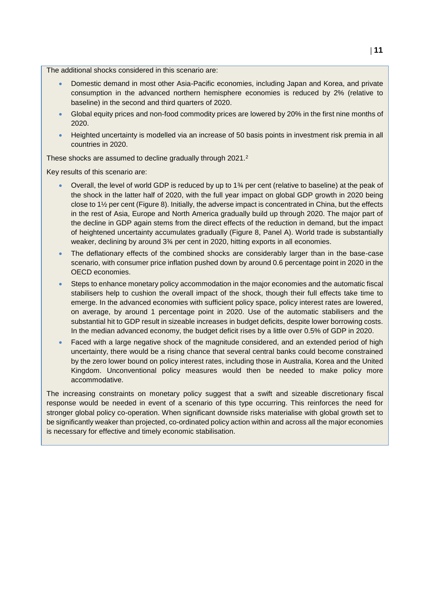The additional shocks considered in this scenario are:

- Domestic demand in most other Asia-Pacific economies, including Japan and Korea, and private consumption in the advanced northern hemisphere economies is reduced by 2% (relative to baseline) in the second and third quarters of 2020.
- Global equity prices and non-food commodity prices are lowered by 20% in the first nine months of 2020.
- Heighted uncertainty is modelled via an increase of 50 basis points in investment risk premia in all countries in 2020.

These shocks are assumed to decline gradually through 2021.<sup>2</sup>

Key results of this scenario are:

- Overall, the level of world GDP is reduced by up to 1¾ per cent (relative to baseline) at the peak of the shock in the latter half of 2020, with the full year impact on global GDP growth in 2020 being close to 1½ per cent (Figure 8). Initially, the adverse impact is concentrated in China, but the effects in the rest of Asia, Europe and North America gradually build up through 2020. The major part of the decline in GDP again stems from the direct effects of the reduction in demand, but the impact of heightened uncertainty accumulates gradually (Figure 8, Panel A). World trade is substantially weaker, declining by around 3¾ per cent in 2020, hitting exports in all economies.
- The deflationary effects of the combined shocks are considerably larger than in the base-case scenario, with consumer price inflation pushed down by around 0.6 percentage point in 2020 in the OECD economies.
- Steps to enhance monetary policy accommodation in the major economies and the automatic fiscal stabilisers help to cushion the overall impact of the shock, though their full effects take time to emerge. In the advanced economies with sufficient policy space, policy interest rates are lowered, on average, by around 1 percentage point in 2020. Use of the automatic stabilisers and the substantial hit to GDP result in sizeable increases in budget deficits, despite lower borrowing costs. In the median advanced economy, the budget deficit rises by a little over 0.5% of GDP in 2020.
- Faced with a large negative shock of the magnitude considered, and an extended period of high uncertainty, there would be a rising chance that several central banks could become constrained by the zero lower bound on policy interest rates, including those in Australia, Korea and the United Kingdom. Unconventional policy measures would then be needed to make policy more accommodative.

The increasing constraints on monetary policy suggest that a swift and sizeable discretionary fiscal response would be needed in event of a scenario of this type occurring. This reinforces the need for stronger global policy co-operation. When significant downside risks materialise with global growth set to be significantly weaker than projected, co-ordinated policy action within and across all the major economies is necessary for effective and timely economic stabilisation.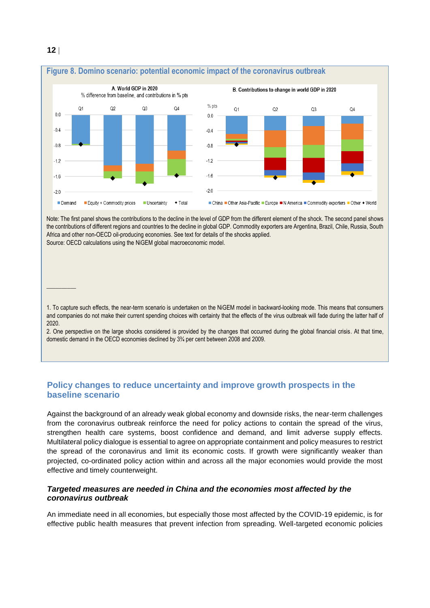

Note: The first panel shows the contributions to the decline in the level of GDP from the different element of the shock. The second panel shows the contributions of different regions and countries to the decline in global GDP. Commodity exporters are Argentina, Brazil, Chile, Russia, South Africa and other non-OECD oil-producing economies. See text for details of the shocks applied. Source: OECD calculations using the NiGEM global macroeconomic model.

1. To capture such effects, the near-term scenario is undertaken on the NiGEM model in backward-looking mode. This means that consumers and companies do not make their current spending choices with certainty that the effects of the virus outbreak will fade during the latter half of 2020.

2. One perspective on the large shocks considered is provided by the changes that occurred during the global financial crisis. At that time, domestic demand in the OECD economies declined by 3¾ per cent between 2008 and 2009.

#### **Policy changes to reduce uncertainty and improve growth prospects in the baseline scenario**

Against the background of an already weak global economy and downside risks, the near-term challenges from the coronavirus outbreak reinforce the need for policy actions to contain the spread of the virus, strengthen health care systems, boost confidence and demand, and limit adverse supply effects. Multilateral policy dialogue is essential to agree on appropriate containment and policy measures to restrict the spread of the coronavirus and limit its economic costs. If growth were significantly weaker than projected, co-ordinated policy action within and across all the major economies would provide the most effective and timely counterweight.

#### *Targeted measures are needed in China and the economies most affected by the coronavirus outbreak*

An immediate need in all economies, but especially those most affected by the COVID-19 epidemic, is for effective public health measures that prevent infection from spreading. Well-targeted economic policies

 $\overline{\phantom{a}}$  . The set of the set of the set of the set of the set of the set of the set of the set of the set of the set of the set of the set of the set of the set of the set of the set of the set of the set of the set o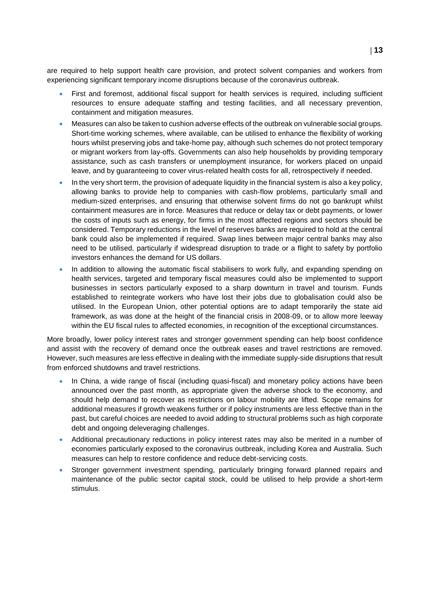are required to help support health care provision, and protect solvent companies and workers from experiencing significant temporary income disruptions because of the coronavirus outbreak.

- First and foremost, additional fiscal support for health services is required, including sufficient resources to ensure adequate staffing and testing facilities, and all necessary prevention, containment and mitigation measures.
- Measures can also be taken to cushion adverse effects of the outbreak on vulnerable social groups. Short-time working schemes, where available, can be utilised to enhance the flexibility of working hours whilst preserving jobs and take-home pay, although such schemes do not protect temporary or migrant workers from lay-offs. Governments can also help households by providing temporary assistance, such as cash transfers or unemployment insurance, for workers placed on unpaid leave, and by guaranteeing to cover virus-related health costs for all, retrospectively if needed.
- In the very short term, the provision of adequate liquidity in the financial system is also a key policy, allowing banks to provide help to companies with cash-flow problems, particularly small and medium-sized enterprises, and ensuring that otherwise solvent firms do not go bankrupt whilst containment measures are in force. Measures that reduce or delay tax or debt payments, or lower the costs of inputs such as energy, for firms in the most affected regions and sectors should be considered. Temporary reductions in the level of reserves banks are required to hold at the central bank could also be implemented if required. Swap lines between major central banks may also need to be utilised, particularly if widespread disruption to trade or a flight to safety by portfolio investors enhances the demand for US dollars.
- In addition to allowing the automatic fiscal stabilisers to work fully, and expanding spending on health services, targeted and temporary fiscal measures could also be implemented to support businesses in sectors particularly exposed to a sharp downturn in travel and tourism. Funds established to reintegrate workers who have lost their jobs due to globalisation could also be utilised. In the European Union, other potential options are to adapt temporarily the state aid framework, as was done at the height of the financial crisis in 2008-09, or to allow more leeway within the EU fiscal rules to affected economies, in recognition of the exceptional circumstances.

More broadly, lower policy interest rates and stronger government spending can help boost confidence and assist with the recovery of demand once the outbreak eases and travel restrictions are removed. However, such measures are less effective in dealing with the immediate supply-side disruptions that result from enforced shutdowns and travel restrictions.

- In China, a wide range of fiscal (including quasi-fiscal) and monetary policy actions have been announced over the past month, as appropriate given the adverse shock to the economy, and should help demand to recover as restrictions on labour mobility are lifted. Scope remains for additional measures if growth weakens further or if policy instruments are less effective than in the past, but careful choices are needed to avoid adding to structural problems such as high corporate debt and ongoing deleveraging challenges.
- Additional precautionary reductions in policy interest rates may also be merited in a number of economies particularly exposed to the coronavirus outbreak, including Korea and Australia. Such measures can help to restore confidence and reduce debt-servicing costs.
- Stronger government investment spending, particularly bringing forward planned repairs and maintenance of the public sector capital stock, could be utilised to help provide a short-term stimulus.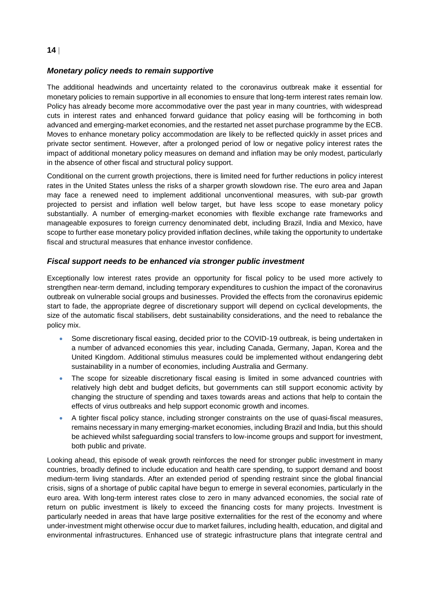#### *Monetary policy needs to remain supportive*

The additional headwinds and uncertainty related to the coronavirus outbreak make it essential for monetary policies to remain supportive in all economies to ensure that long-term interest rates remain low. Policy has already become more accommodative over the past year in many countries, with widespread cuts in interest rates and enhanced forward guidance that policy easing will be forthcoming in both advanced and emerging-market economies, and the restarted net asset purchase programme by the ECB. Moves to enhance monetary policy accommodation are likely to be reflected quickly in asset prices and private sector sentiment. However, after a prolonged period of low or negative policy interest rates the impact of additional monetary policy measures on demand and inflation may be only modest, particularly in the absence of other fiscal and structural policy support.

Conditional on the current growth projections, there is limited need for further reductions in policy interest rates in the United States unless the risks of a sharper growth slowdown rise. The euro area and Japan may face a renewed need to implement additional unconventional measures, with sub-par growth projected to persist and inflation well below target, but have less scope to ease monetary policy substantially. A number of emerging-market economies with flexible exchange rate frameworks and manageable exposures to foreign currency denominated debt, including Brazil, India and Mexico, have scope to further ease monetary policy provided inflation declines, while taking the opportunity to undertake fiscal and structural measures that enhance investor confidence.

#### *Fiscal support needs to be enhanced via stronger public investment*

Exceptionally low interest rates provide an opportunity for fiscal policy to be used more actively to strengthen near-term demand, including temporary expenditures to cushion the impact of the coronavirus outbreak on vulnerable social groups and businesses. Provided the effects from the coronavirus epidemic start to fade, the appropriate degree of discretionary support will depend on cyclical developments, the size of the automatic fiscal stabilisers, debt sustainability considerations, and the need to rebalance the policy mix.

- Some discretionary fiscal easing, decided prior to the COVID-19 outbreak, is being undertaken in a number of advanced economies this year, including Canada, Germany, Japan, Korea and the United Kingdom. Additional stimulus measures could be implemented without endangering debt sustainability in a number of economies, including Australia and Germany.
- The scope for sizeable discretionary fiscal easing is limited in some advanced countries with relatively high debt and budget deficits, but governments can still support economic activity by changing the structure of spending and taxes towards areas and actions that help to contain the effects of virus outbreaks and help support economic growth and incomes.
- A tighter fiscal policy stance, including stronger constraints on the use of quasi-fiscal measures, remains necessary in many emerging-market economies, including Brazil and India, but this should be achieved whilst safeguarding social transfers to low-income groups and support for investment, both public and private.

Looking ahead, this episode of weak growth reinforces the need for stronger public investment in many countries, broadly defined to include education and health care spending, to support demand and boost medium-term living standards. After an extended period of spending restraint since the global financial crisis, signs of a shortage of public capital have begun to emerge in several economies, particularly in the euro area. With long-term interest rates close to zero in many advanced economies, the social rate of return on public investment is likely to exceed the financing costs for many projects. Investment is particularly needed in areas that have large positive externalities for the rest of the economy and where under-investment might otherwise occur due to market failures, including health, education, and digital and environmental infrastructures. Enhanced use of strategic infrastructure plans that integrate central and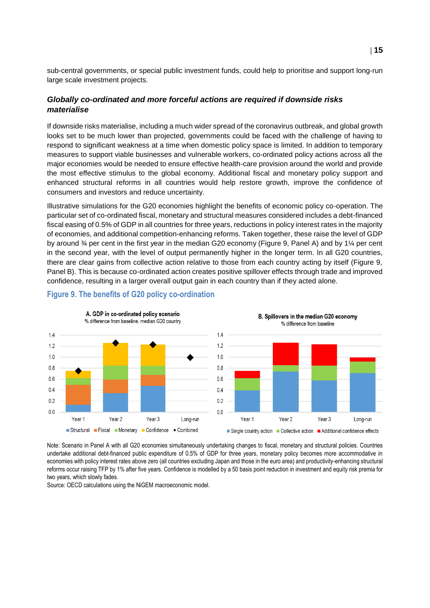sub-central governments, or special public investment funds, could help to prioritise and support long-run large scale investment projects.

#### *Globally co-ordinated and more forceful actions are required if downside risks materialise*

If downside risks materialise, including a much wider spread of the coronavirus outbreak, and global growth looks set to be much lower than projected, governments could be faced with the challenge of having to respond to significant weakness at a time when domestic policy space is limited. In addition to temporary measures to support viable businesses and vulnerable workers, co-ordinated policy actions across all the major economies would be needed to ensure effective health-care provision around the world and provide the most effective stimulus to the global economy. Additional fiscal and monetary policy support and enhanced structural reforms in all countries would help restore growth, improve the confidence of consumers and investors and reduce uncertainty.

Illustrative simulations for the G20 economies highlight the benefits of economic policy co-operation. The particular set of co-ordinated fiscal, monetary and structural measures considered includes a debt-financed fiscal easing of 0.5% of GDP in all countries for three years, reductions in policy interest rates in the majority of economies, and additional competition-enhancing reforms. Taken together, these raise the level of GDP by around ¾ per cent in the first year in the median G20 economy (Figure 9, Panel A) and by 1¼ per cent in the second year, with the level of output permanently higher in the longer term. In all G20 countries, there are clear gains from collective action relative to those from each country acting by itself (Figure 9, Panel B). This is because co-ordinated action creates positive spillover effects through trade and improved confidence, resulting in a larger overall output gain in each country than if they acted alone.



#### **Figure 9. The benefits of G20 policy co-ordination**

Note: Scenario in Panel A with all G20 economies simultaneously undertaking changes to fiscal, monetary and structural policies. Countries undertake additional debt-financed public expenditure of 0.5% of GDP for three years, monetary policy becomes more accommodative in economies with policy interest rates above zero (all countries excluding Japan and those in the euro area) and productivity-enhancing structural reforms occur raising TFP by 1% after five years. Confidence is modelled by a 50 basis point reduction in investment and equity risk premia for two years, which slowly fades.

Source: OECD calculations using the NiGEM macroeconomic model.